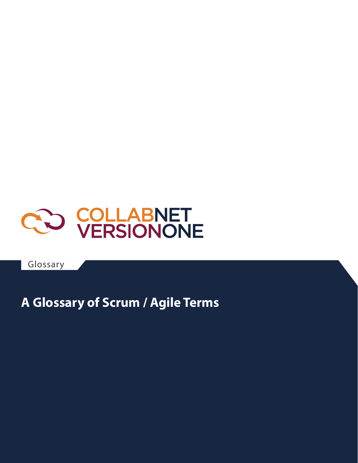

Glossary

### **A Glossary of Scrum / Agile Terms**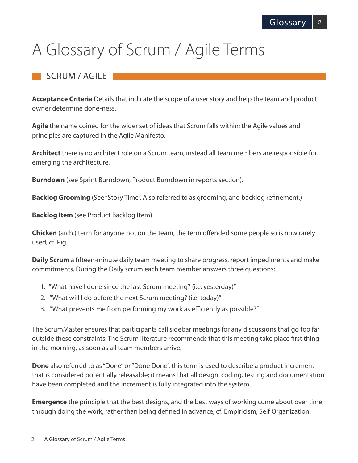## A Glossary of Scrum / Agile Terms

#### SCRUM / AGILE

**Acceptance Criteria** Details that indicate the scope of a user story and help the team and product owner determine done-ness.

**Agile** the name coined for the wider set of ideas that Scrum falls within; the Agile values and principles are captured in the Agile Manifesto.

**Architect** there is no architect role on a Scrum team, instead all team members are responsible for emerging the architecture.

**Burndown** (see Sprint Burndown, Product Burndown in reports section).

**Backlog Grooming** (See "Story Time". Also referred to as grooming, and backlog refinement.)

**Backlog Item** (see Product Backlog Item)

**Chicken** (arch.) term for anyone not on the team, the term offended some people so is now rarely used, cf. Pig

**Daily Scrum** a fifteen-minute daily team meeting to share progress, report impediments and make commitments. During the Daily scrum each team member answers three questions:

- 1. "What have I done since the last Scrum meeting? (i.e. yesterday)"
- 2. "What will I do before the next Scrum meeting? (i.e. today)"
- 3. "What prevents me from performing my work as efficiently as possible?"

The ScrumMaster ensures that participants call sidebar meetings for any discussions that go too far outside these constraints. The Scrum literature recommends that this meeting take place first thing in the morning, as soon as all team members arrive.

**Done** also referred to as "Done" or "Done Done", this term is used to describe a product increment that is considered potentially releasable; it means that all design, coding, testing and documentation have been completed and the increment is fully integrated into the system.

**Emergence** the principle that the best designs, and the best ways of working come about over time through doing the work, rather than being defined in advance, cf. Empiricism, Self Organization.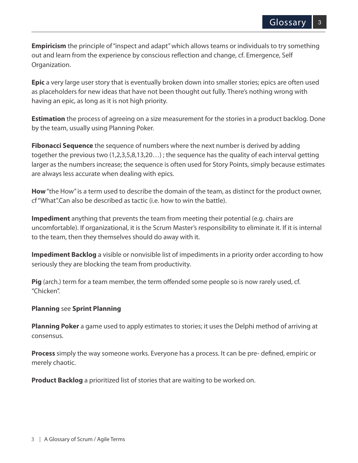**Empiricism** the principle of "inspect and adapt" which allows teams or individuals to try something out and learn from the experience by conscious reflection and change, cf. Emergence, Self Organization.

**Epic** a very large user story that is eventually broken down into smaller stories; epics are often used as placeholders for new ideas that have not been thought out fully. There's nothing wrong with having an epic, as long as it is not high priority.

**Estimation** the process of agreeing on a size measurement for the stories in a product backlog. Done by the team, usually using Planning Poker.

**Fibonacci Sequence** the sequence of numbers where the next number is derived by adding together the previous two (1,2,3,5,8,13,20…) ; the sequence has the quality of each interval getting larger as the numbers increase; the sequence is often used for Story Points, simply because estimates are always less accurate when dealing with epics.

**How** "the How" is a term used to describe the domain of the team, as distinct for the product owner, cf "What".Can also be described as tactic (i.e. how to win the battle).

**Impediment** anything that prevents the team from meeting their potential (e.g. chairs are uncomfortable). If organizational, it is the Scrum Master's responsibility to eliminate it. If it is internal to the team, then they themselves should do away with it.

**Impediment Backlog** a visible or nonvisible list of impediments in a priority order according to how seriously they are blocking the team from productivity.

**Pig** (arch.) term for a team member, the term offended some people so is now rarely used, cf. "Chicken".

#### **Planning** see **Sprint Planning**

**Planning Poker** a game used to apply estimates to stories; it uses the Delphi method of arriving at consensus.

**Process** simply the way someone works. Everyone has a process. It can be pre- defined, empiric or merely chaotic.

**Product Backlog** a prioritized list of stories that are waiting to be worked on.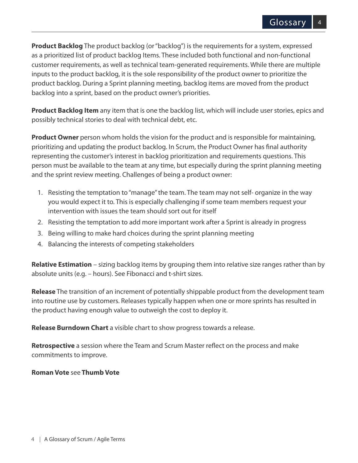**Product Backlog** The product backlog (or "backlog") is the requirements for a system, expressed as a prioritized list of product backlog Items. These included both functional and non-functional customer requirements, as well as technical team-generated requirements. While there are multiple inputs to the product backlog, it is the sole responsibility of the product owner to prioritize the product backlog. During a Sprint planning meeting, backlog items are moved from the product backlog into a sprint, based on the product owner's priorities.

**Product Backlog Item** any item that is one the backlog list, which will include user stories, epics and possibly technical stories to deal with technical debt, etc.

**Product Owner** person whom holds the vision for the product and is responsible for maintaining, prioritizing and updating the product backlog. In Scrum, the Product Owner has final authority representing the customer's interest in backlog prioritization and requirements questions. This person must be available to the team at any time, but especially during the sprint planning meeting and the sprint review meeting. Challenges of being a product owner:

- 1. Resisting the temptation to "manage" the team. The team may not self- organize in the way you would expect it to. This is especially challenging if some team members request your intervention with issues the team should sort out for itself
- 2. Resisting the temptation to add more important work after a Sprint is already in progress
- 3. Being willing to make hard choices during the sprint planning meeting
- 4. Balancing the interests of competing stakeholders

**Relative Estimation** – sizing backlog items by grouping them into relative size ranges rather than by absolute units (e.g. – hours). See Fibonacci and t-shirt sizes.

**Release** The transition of an increment of potentially shippable product from the development team into routine use by customers. Releases typically happen when one or more sprints has resulted in the product having enough value to outweigh the cost to deploy it.

**Release Burndown Chart** a visible chart to show progress towards a release.

**Retrospective** a session where the Team and Scrum Master reflect on the process and make commitments to improve.

#### **Roman Vote** see **Thumb Vote**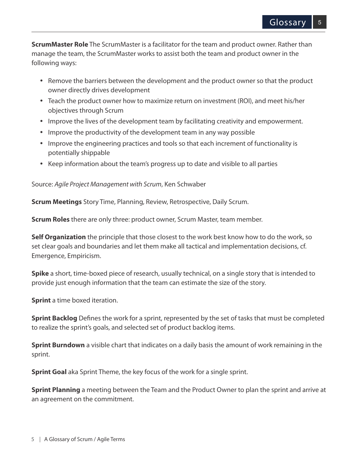**ScrumMaster Role** The ScrumMaster is a facilitator for the team and product owner. Rather than manage the team, the ScrumMaster works to assist both the team and product owner in the following ways:

- Remove the barriers between the development and the product owner so that the product owner directly drives development
- Teach the product owner how to maximize return on investment (ROI), and meet his/her objectives through Scrum
- Improve the lives of the development team by facilitating creativity and empowerment.
- Improve the productivity of the development team in any way possible
- Improve the engineering practices and tools so that each increment of functionality is potentially shippable
- Keep information about the team's progress up to date and visible to all parties

Source: *Agile Project Management with Scrum*, Ken Schwaber

**Scrum Meetings** Story Time, Planning, Review, Retrospective, Daily Scrum.

**Scrum Roles** there are only three: product owner, Scrum Master, team member.

**Self Organization** the principle that those closest to the work best know how to do the work, so set clear goals and boundaries and let them make all tactical and implementation decisions, cf. Emergence, Empiricism.

**Spike** a short, time-boxed piece of research, usually technical, on a single story that is intended to provide just enough information that the team can estimate the size of the story.

**Sprint** a time boxed iteration.

**Sprint Backlog** Defines the work for a sprint, represented by the set of tasks that must be completed to realize the sprint's goals, and selected set of product backlog items.

**Sprint Burndown** a visible chart that indicates on a daily basis the amount of work remaining in the sprint.

**Sprint Goal** aka Sprint Theme, the key focus of the work for a single sprint.

**Sprint Planning** a meeting between the Team and the Product Owner to plan the sprint and arrive at an agreement on the commitment.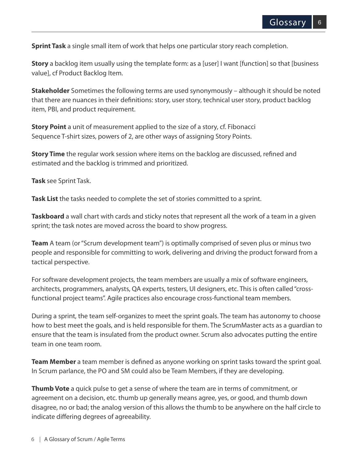**Sprint Task** a single small item of work that helps one particular story reach completion.

**Story** a backlog item usually using the template form: as a [user] I want [function] so that [business value], cf Product Backlog Item.

**Stakeholder** Sometimes the following terms are used synonymously – although it should be noted that there are nuances in their definitions: story, user story, technical user story, product backlog item, PBI, and product requirement.

**Story Point** a unit of measurement applied to the size of a story, cf. Fibonacci Sequence T-shirt sizes, powers of 2, are other ways of assigning Story Points.

**Story Time** the regular work session where items on the backlog are discussed, refined and estimated and the backlog is trimmed and prioritized.

**Task** see Sprint Task.

**Task List** the tasks needed to complete the set of stories committed to a sprint.

**Taskboard** a wall chart with cards and sticky notes that represent all the work of a team in a given sprint; the task notes are moved across the board to show progress.

**Team** A team (or "Scrum development team") is optimally comprised of seven plus or minus two people and responsible for committing to work, delivering and driving the product forward from a tactical perspective.

For software development projects, the team members are usually a mix of software engineers, architects, programmers, analysts, QA experts, testers, UI designers, etc. This is often called "crossfunctional project teams". Agile practices also encourage cross-functional team members.

During a sprint, the team self-organizes to meet the sprint goals. The team has autonomy to choose how to best meet the goals, and is held responsible for them. The ScrumMaster acts as a guardian to ensure that the team is insulated from the product owner. Scrum also advocates putting the entire team in one team room.

**Team Member** a team member is defined as anyone working on sprint tasks toward the sprint goal. In Scrum parlance, the PO and SM could also be Team Members, if they are developing.

**Thumb Vote** a quick pulse to get a sense of where the team are in terms of commitment, or agreement on a decision, etc. thumb up generally means agree, yes, or good, and thumb down disagree, no or bad; the analog version of this allows the thumb to be anywhere on the half circle to indicate differing degrees of agreeability.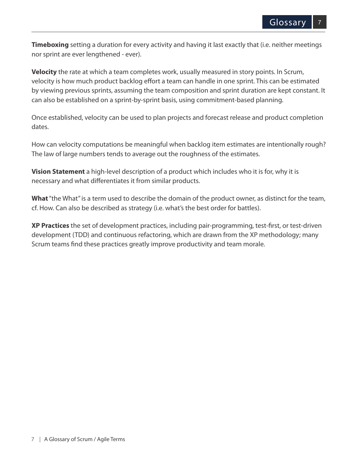**Timeboxing** setting a duration for every activity and having it last exactly that (i.e. neither meetings nor sprint are ever lengthened - ever).

**Velocity** the rate at which a team completes work, usually measured in story points. In Scrum, velocity is how much product backlog effort a team can handle in one sprint. This can be estimated by viewing previous sprints, assuming the team composition and sprint duration are kept constant. It can also be established on a sprint-by-sprint basis, using commitment-based planning.

Once established, velocity can be used to plan projects and forecast release and product completion dates.

How can velocity computations be meaningful when backlog item estimates are intentionally rough? The law of large numbers tends to average out the roughness of the estimates.

**Vision Statement** a high-level description of a product which includes who it is for, why it is necessary and what differentiates it from similar products.

**What** "the What" is a term used to describe the domain of the product owner, as distinct for the team, cf. How. Can also be described as strategy (i.e. what's the best order for battles).

**XP Practices** the set of development practices, including pair-programming, test-first, or test-driven development (TDD) and continuous refactoring, which are drawn from the XP methodology; many Scrum teams find these practices greatly improve productivity and team morale.